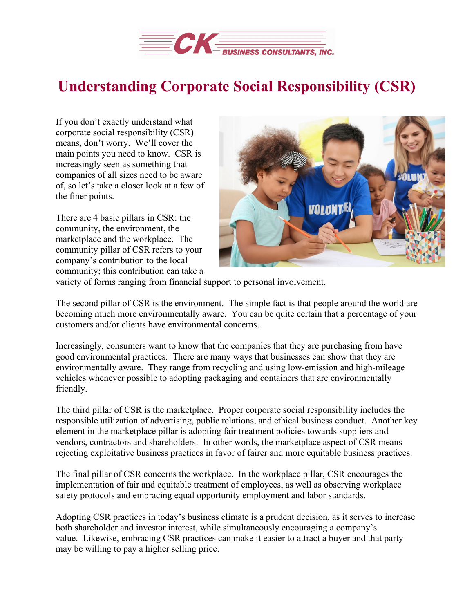

## **Understanding Corporate Social Responsibility (CSR)**

If you don't exactly understand what corporate social responsibility (CSR) means, don't worry. We'll cover the main points you need to know. CSR is increasingly seen as something that companies of all sizes need to be aware of, so let's take a closer look at a few of the finer points.

There are 4 basic pillars in CSR: the community, the environment, the marketplace and the workplace. The community pillar of CSR refers to your company's contribution to the local community; this contribution can take a



variety of forms ranging from financial support to personal involvement.

The second pillar of CSR is the environment. The simple fact is that people around the world are becoming much more environmentally aware. You can be quite certain that a percentage of your customers and/or clients have environmental concerns.

Increasingly, consumers want to know that the companies that they are purchasing from have good environmental practices. There are many ways that businesses can show that they are environmentally aware. They range from recycling and using low-emission and high-mileage vehicles whenever possible to adopting packaging and containers that are environmentally friendly.

The third pillar of CSR is the marketplace. Proper corporate social responsibility includes the responsible utilization of advertising, public relations, and ethical business conduct. Another key element in the marketplace pillar is adopting fair treatment policies towards suppliers and vendors, contractors and shareholders. In other words, the marketplace aspect of CSR means rejecting exploitative business practices in favor of fairer and more equitable business practices.

The final pillar of CSR concerns the workplace. In the workplace pillar, CSR encourages the implementation of fair and equitable treatment of employees, as well as observing workplace safety protocols and embracing equal opportunity employment and labor standards.

Adopting CSR practices in today's business climate is a prudent decision, as it serves to increase both shareholder and investor interest, while simultaneously encouraging a company's value. Likewise, embracing CSR practices can make it easier to attract a buyer and that party may be willing to pay a higher selling price.